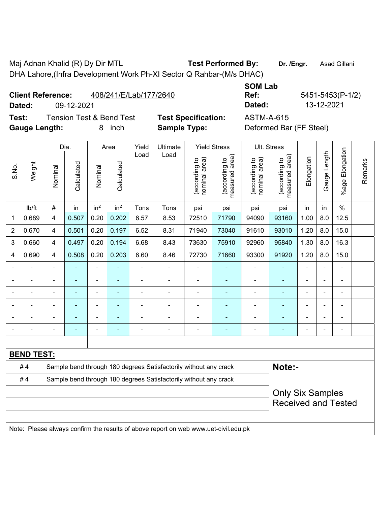Maj Adnan Khalid (R) Dy Dir MTL **Test Performed By:** Dr. /Engr. **Asad Gillani** 

DHA Lahore,(Infra Development Work Ph-XI Sector Q Rahbar-(M/s DHAC)

**Client Reference:** 408/241/E/Lab/177/2640

**Dated:** 09-12-2021 **Dated:** 13-12-2021

**Test:** Tension Test & Bend Test **Test Specification:** ASTM-A-615 Gauge Length: **8** inch **Sample Type:** Deformed Bar (FF Steel)

**SOM Lab** 

**Ref:** 5451-5453(P-1/2)

|                |                   | Dia.                    |                |                 | Area            |                | Ultimate                                                                            | <b>Yield Stress</b>            |                                 | Ult. Stress                    |                                 |                |                |                      |         |
|----------------|-------------------|-------------------------|----------------|-----------------|-----------------|----------------|-------------------------------------------------------------------------------------|--------------------------------|---------------------------------|--------------------------------|---------------------------------|----------------|----------------|----------------------|---------|
| S.No.          | Weight            | Nominal                 | Calculated     | Nominal         | Calculated      | Load           | Load                                                                                | nominal area)<br>(according to | measured area)<br>(according to | (according to<br>nominal area) | measured area)<br>(according to | Elongation     | Gauge Length   | Elongation<br>%age l | Remarks |
|                | Ib/ft             | $\#$                    | in             | in <sup>2</sup> | in <sup>2</sup> | Tons           | Tons                                                                                | psi                            | psi                             | psi                            | psi                             | in             | in             | $\%$                 |         |
| 1              | 0.689             | 4                       | 0.507          | 0.20            | 0.202           | 6.57           | 8.53                                                                                | 72510                          | 71790                           | 94090                          | 93160                           | 1.00           | 8.0            | 12.5                 |         |
| $\overline{2}$ | 0.670             | 4                       | 0.501          | 0.20            | 0.197           | 6.52           | 8.31                                                                                | 71940                          | 73040                           | 91610                          | 93010                           | 1.20           | 8.0            | 15.0                 |         |
| 3              | 0.660             | 4                       | 0.497          | 0.20            | 0.194           | 6.68           | 8.43                                                                                | 73630                          | 75910                           | 92960                          | 95840                           | 1.30           | 8.0            | 16.3                 |         |
| 4              | 0.690             | $\overline{\mathbf{4}}$ | 0.508          | 0.20            | 0.203           | 6.60           | 8.46                                                                                | 72730                          | 71660                           | 93300                          | 91920                           | 1.20           | 8.0            | 15.0                 |         |
|                |                   | $\blacksquare$          |                |                 |                 |                |                                                                                     |                                |                                 |                                |                                 |                |                | ۰                    |         |
|                |                   |                         |                |                 |                 |                |                                                                                     |                                |                                 | $\blacksquare$                 |                                 | ÷              |                | $\blacksquare$       |         |
|                | $\blacksquare$    | $\blacksquare$          | $\blacksquare$ | $\blacksquare$  |                 |                | ä,                                                                                  |                                | $\blacksquare$                  | $\blacksquare$                 | $\overline{\phantom{0}}$        | $\blacksquare$ | $\blacksquare$ | ۰                    |         |
|                | $\blacksquare$    | $\blacksquare$          | $\blacksquare$ | $\blacksquare$  | ٠               | $\blacksquare$ | $\blacksquare$                                                                      | ۰                              | $\blacksquare$                  | $\blacksquare$                 | ٠                               | $\blacksquare$ | $\blacksquare$ | ۰                    |         |
|                | $\blacksquare$    | $\blacksquare$          | $\blacksquare$ |                 | $\blacksquare$  |                | ä,                                                                                  | $\blacksquare$                 | $\blacksquare$                  | $\blacksquare$                 | $\blacksquare$                  | $\blacksquare$ | ÷              | $\blacksquare$       |         |
|                |                   |                         |                |                 |                 |                |                                                                                     |                                |                                 | Ē,                             |                                 |                |                | ÷,                   |         |
|                |                   |                         |                |                 |                 |                |                                                                                     |                                |                                 |                                |                                 |                |                |                      |         |
|                | <b>BEND TEST:</b> |                         |                |                 |                 |                |                                                                                     |                                |                                 |                                |                                 |                |                |                      |         |
|                | #4                |                         |                |                 |                 |                | Sample bend through 180 degrees Satisfactorily without any crack                    |                                |                                 |                                | Note:-                          |                |                |                      |         |
|                | #4                |                         |                |                 |                 |                | Sample bend through 180 degrees Satisfactorily without any crack                    |                                |                                 |                                |                                 |                |                |                      |         |
|                |                   | <b>Only Six Samples</b> |                |                 |                 |                |                                                                                     |                                |                                 |                                |                                 |                |                |                      |         |
|                |                   |                         |                |                 |                 |                |                                                                                     |                                |                                 |                                | <b>Received and Tested</b>      |                |                |                      |         |
|                |                   |                         |                |                 |                 |                |                                                                                     |                                |                                 |                                |                                 |                |                |                      |         |
|                |                   |                         |                |                 |                 |                | Note: Please always confirm the results of above report on web www.uet-civil.edu.pk |                                |                                 |                                |                                 |                |                |                      |         |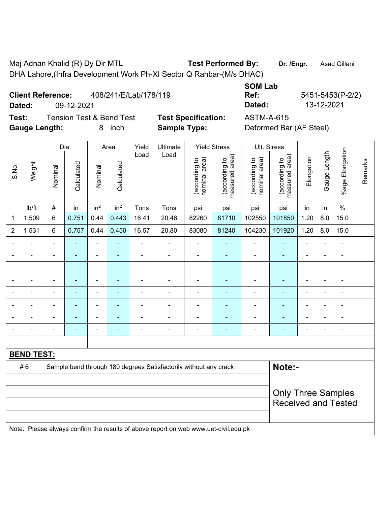Maj Adnan Khalid (R) Dy Dir MTL **Test Performed By:** Dr. /Engr. **Asad Gillani** DHA Lahore,(Infra Development Work Ph-XI Sector Q Rahbar-(M/s DHAC)

| <b>Client Reference:</b> | 408/241/E/Lab/178/119 |
|--------------------------|-----------------------|
|                          |                       |

**Dated:** 09-12-2021 **Dated:** 13-12-2021

 $\top$ 

**Test:** Tension Test & Bend Test **Test Specification:** ASTM-A-615 Gauge Length: **8** inch **Sample Type:** Deformed Bar (AF Steel)

**SOM Lab** 

**Ref:** 5451-5453(P-2/2)

|                |                                                                        |                          | Dia.           |                 | Area            | Yield          | Ultimate                 |                                | <b>Yield Stress</b>             | Ult. Stress                    |                                 |                |                |                 |         |
|----------------|------------------------------------------------------------------------|--------------------------|----------------|-----------------|-----------------|----------------|--------------------------|--------------------------------|---------------------------------|--------------------------------|---------------------------------|----------------|----------------|-----------------|---------|
| S.No.          | Weight                                                                 | Nominal                  | Calculated     | Nominal         | Calculated      | Load           | Load                     | nominal area)<br>(according to | measured area)<br>(according to | nominal area)<br>(according to | measured area)<br>(according to | Elongation     | Gauge Length   | %age Elongation | Remarks |
|                | lb/ft                                                                  | $\#$                     | in             | in <sup>2</sup> | in <sup>2</sup> | Tons           | Tons                     | psi                            | psi                             | psi                            | psi                             | in             | in             | $\%$            |         |
| $\mathbf 1$    | 1.509                                                                  | 6                        | 0.751          | 0.44            | 0.443           | 16.41          | 20.46                    | 82260                          | 81710                           | 102550                         | 101850                          | 1.20           | 8.0            | 15.0            |         |
| $\overline{2}$ | 1.531                                                                  | 6                        | 0.757          | 0.44            | 0.450           | 16.57          | 20.80                    | 83080                          | 81240                           | 104230                         | 101920                          | 1.20           | 8.0            | 15.0            |         |
| $\blacksquare$ | ۰                                                                      | $\blacksquare$           | $\blacksquare$ | $\frac{1}{2}$   |                 | $\blacksquare$ | $\blacksquare$           | $\overline{\phantom{a}}$       | ÷,                              | $\qquad \qquad \blacksquare$   | $\blacksquare$                  | $\blacksquare$ | $\blacksquare$ | $\blacksquare$  |         |
|                |                                                                        | $\blacksquare$           | $\blacksquare$ | $\blacksquare$  |                 |                |                          |                                |                                 |                                |                                 |                |                |                 |         |
|                |                                                                        | $\blacksquare$           | $\blacksquare$ | ÷               |                 | $\blacksquare$ | $\overline{\phantom{0}}$ | $\blacksquare$                 | ۰                               | $\blacksquare$                 | ۰                               | $\blacksquare$ | $\blacksquare$ | $\blacksquare$  |         |
|                |                                                                        | $\blacksquare$           | $\blacksquare$ | ÷               |                 | $\blacksquare$ | ä,                       | ä,                             | ÷,                              | ۰                              | ٠                               | $\blacksquare$ | ä,             | $\blacksquare$  |         |
|                | -                                                                      | $\overline{\phantom{0}}$ | ٠              | -               |                 | ٠              | $\blacksquare$           | ÷                              | ۰                               | ۰                              | ۰                               | ٠              | ۰              | $\overline{a}$  |         |
|                |                                                                        | $\blacksquare$           | $\blacksquare$ | ä,              |                 | $\blacksquare$ | $\blacksquare$           | ÷                              |                                 | ÷                              |                                 | $\blacksquare$ | $\blacksquare$ | $\blacksquare$  |         |
|                |                                                                        |                          |                | ÷               |                 |                |                          |                                |                                 | ÷                              |                                 |                |                |                 |         |
|                |                                                                        | $\blacksquare$           | $\blacksquare$ | ÷               |                 | $\blacksquare$ | $\overline{\phantom{0}}$ | ÷                              | ۰                               | ÷                              | $\blacksquare$                  | $\blacksquare$ | $\blacksquare$ | $\blacksquare$  |         |
|                |                                                                        |                          |                |                 |                 |                |                          |                                |                                 |                                |                                 |                |                |                 |         |
|                | <b>BEND TEST:</b>                                                      |                          |                |                 |                 |                |                          |                                |                                 |                                |                                 |                |                |                 |         |
|                | #6<br>Sample bend through 180 degrees Satisfactorily without any crack |                          |                |                 |                 |                |                          |                                |                                 |                                | Note:-                          |                |                |                 |         |
|                |                                                                        |                          |                |                 |                 |                |                          |                                |                                 |                                |                                 |                |                |                 |         |
|                |                                                                        |                          |                |                 |                 |                |                          |                                |                                 |                                | <b>Only Three Samples</b>       |                |                |                 |         |
|                |                                                                        |                          |                |                 |                 |                |                          |                                |                                 |                                | <b>Received and Tested</b>      |                |                |                 |         |

Note: Please always confirm the results of above report on web www.uet-civil.edu.pk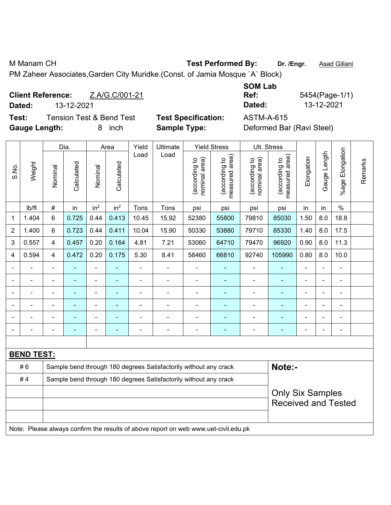PM Zaheer Associates,Garden City Muridke.(Const. of Jamia Mosque `A` Block)

| <b>Client Reference:</b> |            | Z.A/G.C/001-21 | Ref:   | 5454(Page-1/ |
|--------------------------|------------|----------------|--------|--------------|
| Dated:                   | 13-12-2021 |                | Dated: | 13-12-2021   |

**Test:** Tension Test & Bend Test **Test Specification:** ASTM-A-615 **Gauge Length:** 8 inch **Sample Type:** Deformed Bar (Ravi Steel)

| <b>SOM Lab</b> |                |
|----------------|----------------|
| Ref:           | 5454(Page-1/1) |
| Dated:         | 13-12-2021     |

|                |                                                                                     |                                                                  | Dia.           |                              | Area            | Yield                    | Ultimate                                                         |                                | <b>Yield Stress</b>             |                                | Ult. Stress                     |                |              |                       |         |
|----------------|-------------------------------------------------------------------------------------|------------------------------------------------------------------|----------------|------------------------------|-----------------|--------------------------|------------------------------------------------------------------|--------------------------------|---------------------------------|--------------------------------|---------------------------------|----------------|--------------|-----------------------|---------|
| S.No.          | Weight                                                                              | Nominal                                                          | Calculated     | Nominal                      | Calculated      | Load                     | Load                                                             | nominal area)<br>(according to | (according to<br>measured area) | nominal area)<br>(according to | (according to<br>measured area) | Elongation     | Gauge Length | Elongation<br>$%$ age | Remarks |
|                | lb/ft                                                                               | $\#$                                                             | in             | in <sup>2</sup>              | in <sup>2</sup> | Tons                     | Tons                                                             | psi                            | psi                             | psi                            | psi                             | in             | in           | $\%$                  |         |
| 1              | 1.404                                                                               | 6                                                                | 0.725          | 0.44                         | 0.413           | 10.45                    | 15.92                                                            | 52380                          | 55800                           | 79810                          | 85030                           | 1.50           | 8.0          | 18.8                  |         |
| $\overline{2}$ | 1.400                                                                               | 6                                                                | 0.723          | 0.44                         | 0.411           | 10.04                    | 15.90                                                            | 50330                          | 53880                           | 79710                          | 85330                           | 1.40           | 8.0          | 17.5                  |         |
| 3              | 0.557                                                                               | 4                                                                | 0.457          | 0.20                         | 0.164           | 4.81                     | 7.21                                                             | 53060                          | 64710                           | 79470                          | 96920                           | 0.90           | 8.0          | 11.3                  |         |
| 4              | 0.594                                                                               | 4                                                                | 0.472          | 0.20                         | 0.175           | 5.30                     | 8.41                                                             | 58460                          | 66810                           | 92740                          | 105990                          | 0.80           | 8.0          | 10.0                  |         |
| $\blacksquare$ | $\blacksquare$                                                                      | $\blacksquare$                                                   | ÷,             | $\qquad \qquad \blacksquare$ | Ξ               | $\overline{\phantom{a}}$ | ÷,                                                               | $\blacksquare$                 | ÷,                              | $\blacksquare$                 | $\blacksquare$                  | ÷,             |              | ÷,                    |         |
| $\blacksquare$ | $\overline{a}$                                                                      | ä,                                                               | ä,             | ÷                            | ۰               | ÷.                       | $\blacksquare$                                                   | $\blacksquare$                 | $\blacksquare$                  | ä,                             | $\blacksquare$                  | ä,             |              | $\blacksquare$        |         |
| ٠              | $\blacksquare$                                                                      | $\blacksquare$                                                   | ä,             | $\blacksquare$               | ٠               | $\blacksquare$           | $\blacksquare$                                                   | $\overline{\phantom{a}}$       | $\blacksquare$                  | $\blacksquare$                 | $\blacksquare$                  | $\blacksquare$ |              | $\blacksquare$        |         |
|                |                                                                                     |                                                                  |                |                              |                 | ÷                        |                                                                  | ä,                             | $\blacksquare$                  | ä,                             | ä,                              | Ě.             |              |                       |         |
|                |                                                                                     |                                                                  |                |                              |                 |                          |                                                                  | $\blacksquare$                 |                                 |                                |                                 |                |              |                       |         |
| ۰              |                                                                                     | $\blacksquare$                                                   | $\blacksquare$ | $\blacksquare$               | ۳               |                          | $\blacksquare$                                                   | $\blacksquare$                 | ٠                               | ۰                              | $\blacksquare$                  | $\blacksquare$ |              | $\blacksquare$        |         |
|                |                                                                                     |                                                                  |                |                              |                 |                          |                                                                  |                                |                                 |                                |                                 |                |              |                       |         |
|                | <b>BEND TEST:</b>                                                                   |                                                                  |                |                              |                 |                          |                                                                  |                                |                                 |                                |                                 |                |              |                       |         |
|                | #6                                                                                  |                                                                  |                |                              |                 |                          | Sample bend through 180 degrees Satisfactorily without any crack |                                |                                 |                                | Note:-                          |                |              |                       |         |
|                | #4                                                                                  | Sample bend through 180 degrees Satisfactorily without any crack |                |                              |                 |                          |                                                                  |                                |                                 |                                |                                 |                |              |                       |         |
|                |                                                                                     |                                                                  |                |                              |                 |                          |                                                                  |                                |                                 |                                | <b>Only Six Samples</b>         |                |              |                       |         |
|                |                                                                                     |                                                                  |                |                              |                 |                          |                                                                  |                                |                                 |                                | <b>Received and Tested</b>      |                |              |                       |         |
|                |                                                                                     |                                                                  |                |                              |                 |                          |                                                                  |                                |                                 |                                |                                 |                |              |                       |         |
|                | Note: Please always confirm the results of above report on web www.uet-civil.edu.pk |                                                                  |                |                              |                 |                          |                                                                  |                                |                                 |                                |                                 |                |              |                       |         |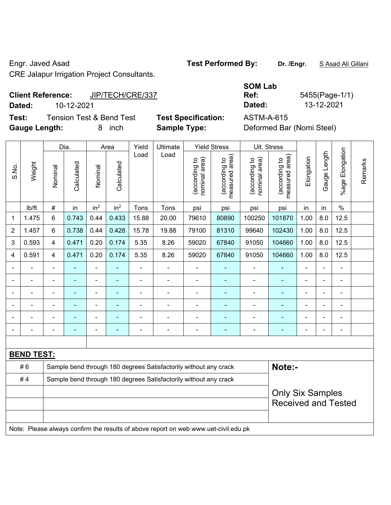CRE Jalapur Irrigation Project Consultants.

# **Client Reference:** JIP/TECH/CRE/337

**Dated:** 10-12-2021 **Dated:** 13-12-2021

**Test:** Tension Test & Bend Test **Test Specification:** ASTM-A-615 **Gauge Length:** 8 inch **Sample Type:** Deformed Bar (Nomi Steel)

| <b>SOM Lab</b> |                |
|----------------|----------------|
| Ref:           | 5455(Page-1/1) |
| Dated:         | 13-12-2021     |

|                |                   | Dia.                     |                |                 | Area            |       | Ultimate                                                                            | <b>Yield Stress</b>            |                                             |                                | Ult. Stress                     |                            |                |                          |         |
|----------------|-------------------|--------------------------|----------------|-----------------|-----------------|-------|-------------------------------------------------------------------------------------|--------------------------------|---------------------------------------------|--------------------------------|---------------------------------|----------------------------|----------------|--------------------------|---------|
| S.No.          | Weight            | Nominal                  | Calculated     | Nominal         | Calculated      | Load  | Load                                                                                | nominal area)<br>(according to | (according to<br>neasured area)<br>measured | nominal area)<br>(according to | measured area)<br>(according to | Elongation                 | Gauge Length   | Elongation<br>$%$ age I  | Remarks |
|                | Ib/ft             | #                        | in             | in <sup>2</sup> | in <sup>2</sup> | Tons  | Tons                                                                                | psi                            | psi                                         | psi                            | psi                             | in                         | in             | $\%$                     |         |
| 1              | 1.475             | 6                        | 0.743          | 0.44            | 0.433           | 15.88 | 20.00                                                                               | 79610                          | 80890                                       | 100250                         | 101870                          | 1.00                       | 8.0            | 12.5                     |         |
| $\overline{2}$ | 1.457             | 6                        | 0.738          | 0.44            | 0.428           | 15.78 | 19.88                                                                               | 79100                          | 81310                                       | 99640                          | 102430                          | 1.00                       | 8.0            | 12.5                     |         |
| 3              | 0.593             | 4                        | 0.471          | 0.20            | 0.174           | 5.35  | 8.26                                                                                | 59020                          | 67840                                       | 91050                          | 104660                          | 1.00                       | 8.0            | 12.5                     |         |
| 4              | 0.591             | 4                        | 0.471          | 0.20            | 0.174           | 5.35  | 8.26                                                                                | 59020                          | 67840                                       | 91050                          | 104660                          | 1.00                       | 8.0            | 12.5                     |         |
| $\blacksquare$ |                   |                          |                | $\blacksquare$  |                 | ä,    | $\blacksquare$                                                                      | ä,                             |                                             | $\blacksquare$                 |                                 | $\blacksquare$             |                | ä,                       |         |
|                |                   | ä,                       | ÷,             | $\blacksquare$  | $\blacksquare$  | L,    | ÷.                                                                                  | ä,                             |                                             | $\blacksquare$                 | ä,                              | $\blacksquare$             | $\blacksquare$ | $\blacksquare$           |         |
| $\blacksquare$ |                   | $\overline{\phantom{a}}$ | $\blacksquare$ | $\blacksquare$  |                 | ä,    | ÷,                                                                                  | $\blacksquare$                 | $\blacksquare$                              | $\overline{\phantom{a}}$       | $\qquad \qquad \blacksquare$    | $\overline{a}$             | $\blacksquare$ | $\overline{\phantom{a}}$ |         |
|                |                   | ä,                       | ÷,             | $\blacksquare$  |                 | L,    | $\overline{a}$                                                                      |                                |                                             | $\blacksquare$                 | ÷,                              |                            |                | $\blacksquare$           |         |
|                |                   |                          | L,             | $\blacksquare$  |                 |       | ÷                                                                                   |                                |                                             | ä,                             | L,                              |                            |                | ä,                       |         |
|                |                   |                          |                |                 |                 |       |                                                                                     |                                |                                             |                                |                                 |                            |                | ä,                       |         |
|                |                   |                          |                |                 |                 |       |                                                                                     |                                |                                             |                                |                                 |                            |                |                          |         |
|                | <b>BEND TEST:</b> |                          |                |                 |                 |       |                                                                                     |                                |                                             |                                |                                 |                            |                |                          |         |
|                | #6                |                          |                |                 |                 |       | Sample bend through 180 degrees Satisfactorily without any crack                    |                                |                                             |                                | Note:-                          |                            |                |                          |         |
|                | #4                |                          |                |                 |                 |       | Sample bend through 180 degrees Satisfactorily without any crack                    |                                |                                             |                                |                                 |                            |                |                          |         |
|                |                   |                          |                |                 |                 |       |                                                                                     |                                |                                             |                                | <b>Only Six Samples</b>         |                            |                |                          |         |
|                |                   |                          |                |                 |                 |       |                                                                                     |                                |                                             |                                |                                 | <b>Received and Tested</b> |                |                          |         |
|                |                   |                          |                |                 |                 |       |                                                                                     |                                |                                             |                                |                                 |                            |                |                          |         |
|                |                   |                          |                |                 |                 |       | Note: Please always confirm the results of above report on web www.uet-civil.edu.pk |                                |                                             |                                |                                 |                            |                |                          |         |

Engr. Javed Asad **Test Performed By:** Dr. /Engr. **SAsad Ali Gillani** Collection Association Collection Association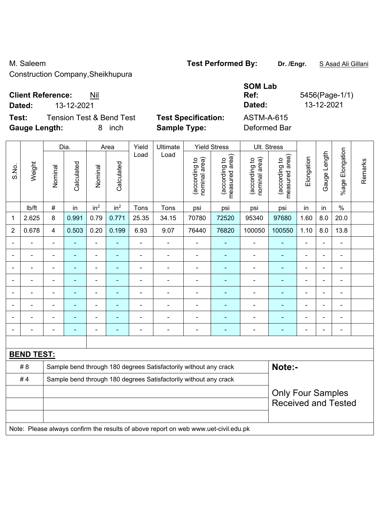Construction Company,Sheikhupura

## **Client Reference:** Nil

|       | Dated:               |         | 13-12-2021                          |         |                      | Dated: |                                                   | 13-12-2021                            |                                                       |                                        |                                                  |            |                 |                    |
|-------|----------------------|---------|-------------------------------------|---------|----------------------|--------|---------------------------------------------------|---------------------------------------|-------------------------------------------------------|----------------------------------------|--------------------------------------------------|------------|-----------------|--------------------|
| Test: | <b>Gauge Length:</b> |         | <b>Tension Test &amp; Bend Test</b> | 8       | inch                 |        | <b>Test Specification:</b><br><b>Sample Type:</b> |                                       |                                                       | <b>ASTM-A-615</b><br>Deformed Bar      |                                                  |            |                 |                    |
|       |                      | Dia.    |                                     | Area    |                      | Yield  | Ultimate                                          | <b>Yield Stress</b>                   |                                                       | Ult. Stress                            |                                                  |            |                 |                    |
| S.No. | Weight               | Nominal | Calculated                          | Nominal | alculated<br>$\circ$ | Load   | Load                                              | ea)<br>ೆ<br>(according<br>nominal are | କ<br>요<br>ഉ<br>(according<br>ω<br>ᅙ<br>Φ<br>asur<br>Φ | ea)<br>요<br>(according<br>ౚ<br>nominal | rea)<br><u>م</u><br>ᡕᢐ<br>(according<br>neasured | Elongation | Length<br>Gauge | Elongation<br>%age |

|                |        | Dia.           |            | Area                     |                 | Yield                    | Ultimate | Yield Stress                   |                                 | UII. Stress                    |                                    |                          |                          |                       |         |
|----------------|--------|----------------|------------|--------------------------|-----------------|--------------------------|----------|--------------------------------|---------------------------------|--------------------------------|------------------------------------|--------------------------|--------------------------|-----------------------|---------|
| S.No.          | Weight | Nominal        | Calculated | Nominal                  | Calculated      | Load                     | Load     | nominal area)<br>(according to | measured area)<br>(according to | nominal area)<br>(according to | area)<br>(according to<br>measured | Elongation               | Length<br>Gauge          | Elongation<br>$%$ age | Remarks |
|                | lb/ft  | $\#$           | in         | in <sup>2</sup>          | in <sup>2</sup> | Tons                     | Tons     | psi                            | psi                             | psi                            | psi                                | in                       | in                       | $\%$                  |         |
| 1              | 2.625  | 8              | 0.991      | 0.79                     | 0.771           | 25.35                    | 34.15    | 70780                          | 72520                           | 95340                          | 97680                              | 1.60                     | 8.0                      | 20.0                  |         |
| $\overline{c}$ | 0.678  | 4              | 0.503      | 0.20                     | 0.199           | 6.93                     | 9.07     | 76440                          | 76820                           | 100050                         | 100550                             | 1.10                     | 8.0                      | 13.8                  |         |
| -              |        | $\blacksquare$ | ۰          | $\blacksquare$           | ۰               | $\blacksquare$           |          |                                |                                 |                                | ٠                                  | -                        | $\blacksquare$           | $\blacksquare$        |         |
| $\blacksquare$ |        | $\blacksquare$ |            | $\overline{\phantom{0}}$ |                 |                          |          |                                |                                 |                                |                                    |                          | $\blacksquare$           |                       |         |
| -              |        |                |            |                          |                 |                          |          |                                |                                 |                                |                                    |                          | $\blacksquare$           |                       |         |
| -              |        | $\blacksquare$ | ۰          | $\blacksquare$           |                 | $\blacksquare$           |          |                                |                                 |                                |                                    | $\blacksquare$           | $\blacksquare$           | -                     |         |
| $\blacksquare$ |        | -              |            | $\overline{\phantom{0}}$ |                 |                          |          |                                |                                 |                                |                                    |                          | $\overline{\phantom{0}}$ |                       |         |
| -              |        |                |            |                          |                 |                          |          |                                |                                 |                                |                                    | $\equiv$                 | $\blacksquare$           |                       |         |
| $\blacksquare$ |        | -              |            | -                        |                 | $\overline{\phantom{0}}$ |          |                                |                                 |                                |                                    | $\overline{\phantom{0}}$ | $\blacksquare$           |                       |         |
| -              |        | -              |            | ٠                        |                 | $\overline{\phantom{a}}$ | -        |                                |                                 |                                |                                    | ٠                        | $\overline{a}$           | -                     |         |
|                |        |                |            |                          |                 |                          |          |                                |                                 |                                |                                    |                          |                          |                       |         |

| <b>BEND TEST:</b> |  |                                                                                     |                            |  |  |  |  |  |  |  |  |
|-------------------|--|-------------------------------------------------------------------------------------|----------------------------|--|--|--|--|--|--|--|--|
| # 8               |  | Sample bend through 180 degrees Satisfactorily without any crack                    | Note:-                     |  |  |  |  |  |  |  |  |
| #4                |  |                                                                                     |                            |  |  |  |  |  |  |  |  |
|                   |  |                                                                                     | <b>Only Four Samples</b>   |  |  |  |  |  |  |  |  |
|                   |  |                                                                                     | <b>Received and Tested</b> |  |  |  |  |  |  |  |  |
|                   |  |                                                                                     |                            |  |  |  |  |  |  |  |  |
|                   |  | Note: Please always confirm the results of above report on web www.uet-civil.edu.pk |                            |  |  |  |  |  |  |  |  |

M. Saleem **Test Performed By:** Dr. /Engr. **SAsad Ali Gillani** 

**SOM Lab** 

**Ref:** 5456(Page-1/1)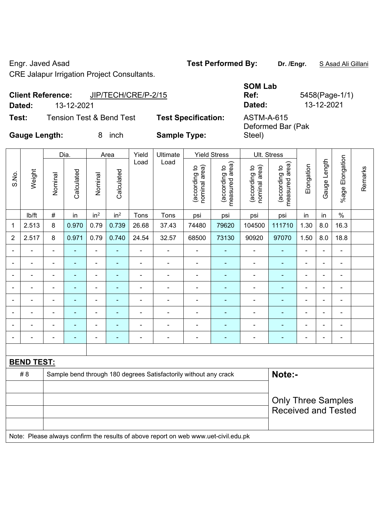Engr. Javed Asad **Test Performed By: Dr. /Engr.** S Asad Ali Gillani

CRE Jalapur Irrigation Project Consultants.

|        | <b>Client Reference:</b> | JIP/TECH/CRE/P-2/15 | <b>JUIVI LAN</b><br>Ref:   | 5458(Page-1                     |            |
|--------|--------------------------|---------------------|----------------------------|---------------------------------|------------|
| Dated: | 13-12-2021               |                     |                            | Dated:                          | 13-12-2021 |
| Test:  | Tension Test & Bend Test |                     | <b>Test Specification:</b> | ASTM-A-615<br>Deformed Bar (Pak |            |

**SOM Lab Ref:** 5458(Page-1/1) Deformed Bar (Pak

Steel)

**Gauge Length:** 8 inch **Sample Type:** 

|                | Weight            | Dia.                                           |                | Area                     |                                | Yield                           | Ultimate<br>Load                                                                    | <b>Yield Stress</b>            |                                 | Ult. Stress                |                |                           |                |                          |  |  |  |
|----------------|-------------------|------------------------------------------------|----------------|--------------------------|--------------------------------|---------------------------------|-------------------------------------------------------------------------------------|--------------------------------|---------------------------------|----------------------------|----------------|---------------------------|----------------|--------------------------|--|--|--|
| S.No.          |                   | Calculated<br>Calculated<br>Nominal<br>Nominal |                | Load                     | nominal area)<br>(according to | (according to<br>measured area) |                                                                                     | (according to<br>nominal area) | (according to<br>measured area) | Elongation                 | Gauge Length   | %age Elongation           | Remarks        |                          |  |  |  |
|                | lb/ft             | $\#$                                           | in             | in <sup>2</sup>          | in <sup>2</sup>                | Tons                            | Tons                                                                                | psi                            | psi                             | psi                        | psi            | in                        | in             | $\%$                     |  |  |  |
| 1              | 2.513             | 8                                              | 0.970          | 0.79                     | 0.739                          | 26.68                           | 37.43                                                                               | 74480                          | 79620                           | 104500                     | 111710         | 1.30                      | 8.0            | 16.3                     |  |  |  |
| $\overline{2}$ | 2.517             | 8                                              | 0.971          | 0.79                     | 0.740                          | 24.54                           | 32.57                                                                               | 68500                          | 73130                           | 90920                      | 97070          | 1.50                      | 8.0            | 18.8                     |  |  |  |
|                |                   | $\blacksquare$                                 | ä,             | ä,                       | ۰                              | ä,                              | $\blacksquare$                                                                      | $\blacksquare$                 | ٠                               |                            | $\blacksquare$ |                           |                | $\blacksquare$           |  |  |  |
|                |                   |                                                | $\blacksquare$ | $\overline{\phantom{a}}$ | $\blacksquare$                 |                                 | $\blacksquare$                                                                      | $\blacksquare$                 | ۰                               | $\overline{\phantom{a}}$   | $\blacksquare$ | $\blacksquare$            |                | $\overline{\phantom{0}}$ |  |  |  |
| $\blacksquare$ |                   | $\blacksquare$                                 | $\blacksquare$ | $\overline{\phantom{a}}$ | ۰                              | $\blacksquare$                  | $\blacksquare$                                                                      | $\overline{\phantom{a}}$       | ٠                               | $\blacksquare$             | $\blacksquare$ | $\blacksquare$            |                | $\blacksquare$           |  |  |  |
|                |                   | $\blacksquare$                                 | $\blacksquare$ | $\blacksquare$           | ۰                              |                                 | $\overline{a}$                                                                      | $\blacksquare$                 | ۰                               | $\blacksquare$             | $\blacksquare$ | $\blacksquare$            | $\blacksquare$ | ÷                        |  |  |  |
| $\blacksquare$ | $\blacksquare$    | $\blacksquare$                                 | $\blacksquare$ | $\blacksquare$           | $\blacksquare$                 | ä,                              | $\blacksquare$                                                                      | $\blacksquare$                 | $\blacksquare$                  | $\overline{\phantom{a}}$   | $\blacksquare$ | $\blacksquare$            |                | $\blacksquare$           |  |  |  |
|                |                   | $\overline{\phantom{0}}$                       | $\blacksquare$ | ä,                       | $\blacksquare$                 | ä,                              | $\blacksquare$                                                                      | Ē,                             | ٠                               | Ē,                         |                |                           |                | $\blacksquare$           |  |  |  |
|                |                   |                                                |                | ÷                        |                                |                                 | $\blacksquare$                                                                      | Ē,                             |                                 |                            |                |                           |                |                          |  |  |  |
| $\blacksquare$ |                   | $\overline{a}$                                 | $\blacksquare$ | -                        | ۰                              | $\overline{a}$                  | $\overline{\phantom{a}}$                                                            | $\overline{a}$                 | ۰                               | $\blacksquare$             | $\blacksquare$ | -                         |                | $\overline{\phantom{a}}$ |  |  |  |
|                |                   |                                                |                |                          |                                |                                 |                                                                                     |                                |                                 |                            |                |                           |                |                          |  |  |  |
|                | <b>BEND TEST:</b> |                                                |                |                          |                                |                                 |                                                                                     |                                |                                 |                            |                |                           |                |                          |  |  |  |
|                | # 8               |                                                |                |                          |                                |                                 | Sample bend through 180 degrees Satisfactorily without any crack                    |                                |                                 |                            | Note:-         |                           |                |                          |  |  |  |
|                |                   |                                                |                |                          |                                |                                 |                                                                                     |                                |                                 |                            |                |                           |                |                          |  |  |  |
|                |                   |                                                |                |                          |                                |                                 |                                                                                     |                                |                                 |                            |                | <b>Only Three Samples</b> |                |                          |  |  |  |
|                |                   |                                                |                |                          |                                |                                 |                                                                                     |                                |                                 | <b>Received and Tested</b> |                |                           |                |                          |  |  |  |
|                |                   |                                                |                |                          |                                |                                 |                                                                                     |                                |                                 |                            |                |                           |                |                          |  |  |  |
|                |                   |                                                |                |                          |                                |                                 | Note: Please always confirm the results of above report on web www.uet-civil.edu.pk |                                |                                 |                            |                |                           |                |                          |  |  |  |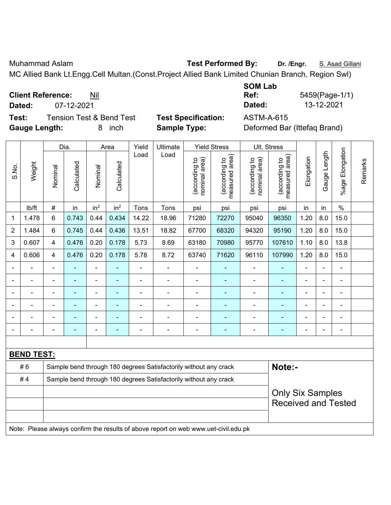Muhammad Aslam **Test Performed By: Dr. /Engr.** S. Asad Gillani

MC Allied Bank Lt.Engg.Cell Multan.(Const.Project Allied Bank Limited Chunian Branch, Region Swl)

**Client Reference:** Nil

**Test:** Tension Test & Bend Test **Test Specification:** ASTM-A-615 **Gauge Length:** 8 inch **Sample Type:** Deformed Bar (Ittefaq Brand)

**SOM Lab Ref:** 5459(Page-1/1) **Dated:** 07-12-2021 **Dated:** 13-12-2021

| S.No.          | Weight            | Dia.           |                | Area            |                 | Yield          | Ultimate                                                                            | <b>Yield Stress</b>            |                                 | Ult. Stress                    |                                 |                |                |                            |         |
|----------------|-------------------|----------------|----------------|-----------------|-----------------|----------------|-------------------------------------------------------------------------------------|--------------------------------|---------------------------------|--------------------------------|---------------------------------|----------------|----------------|----------------------------|---------|
|                |                   | Nominal        | Calculated     | Nominal         | Calculated      | Load           | Load                                                                                | (according to<br>nominal area) | measured area)<br>(according to | nominal area)<br>(according to | measured area)<br>(according to | Elongation     | Gauge Length   | Elongation<br>%age         | Remarks |
|                | lb/ft             | $\#$           | in             | in <sup>2</sup> | in <sup>2</sup> | Tons           | Tons                                                                                | psi                            | psi                             | psi                            | psi                             | in             | in             | $\%$                       |         |
| 1              | 1.478             | $6\phantom{1}$ | 0.743          | 0.44            | 0.434           | 14.22          | 18.96                                                                               | 71280                          | 72270                           | 95040                          | 96350                           | 1.20           | 8.0            | 15.0                       |         |
| $\overline{2}$ | 1.484             | $6\phantom{1}$ | 0.745          | 0.44            | 0.436           | 13.51          | 18.82                                                                               | 67700                          | 68320                           | 94320                          | 95190                           | 1.20           | 8.0            | 15.0                       |         |
| 3              | 0.607             | $\overline{4}$ | 0.476          | 0.20            | 0.178           | 5.73           | 8.69                                                                                | 63180                          | 70980                           | 95770                          | 107610                          | 1.10           | 8.0            | 13.8                       |         |
| 4              | 0.606             | 4              | 0.476          | 0.20            | 0.178           | 5.78           | 8.72                                                                                | 63740                          | 71620                           | 96110                          | 107990                          | 1.20           | 8.0            | 15.0                       |         |
| $\blacksquare$ |                   | $\blacksquare$ | ٠              | $\blacksquare$  | $\blacksquare$  | $\blacksquare$ | $\frac{1}{2}$                                                                       | $\blacksquare$                 |                                 | ÷,                             | $\blacksquare$                  | $\overline{a}$ | $\blacksquare$ | $\blacksquare$             |         |
| $\blacksquare$ |                   | ä,             | $\blacksquare$ | ÷,              | $\blacksquare$  | $\blacksquare$ | $\frac{1}{2}$                                                                       | $\blacksquare$                 | $\blacksquare$                  | ÷,                             | ٠                               | ä,             | $\blacksquare$ | ÷,                         |         |
| $\blacksquare$ |                   | ä,             | $\blacksquare$ | ä,              | ÷               | $\blacksquare$ | $\blacksquare$                                                                      | ä,                             | $\blacksquare$                  | ÷,                             | $\blacksquare$                  | $\overline{a}$ |                | $\blacksquare$             |         |
|                |                   |                |                |                 |                 |                | $\overline{a}$                                                                      |                                |                                 |                                |                                 |                |                |                            |         |
|                |                   |                |                |                 |                 |                | $\blacksquare$                                                                      |                                |                                 | ۰                              |                                 |                |                |                            |         |
| $\blacksquare$ |                   |                | -              | $\overline{a}$  | $\overline{a}$  |                | $\overline{\phantom{a}}$                                                            | $\blacksquare$                 | $\overline{\phantom{a}}$        | ÷                              | $\overline{\phantom{0}}$        |                |                | $\blacksquare$             |         |
|                |                   |                |                |                 |                 |                |                                                                                     |                                |                                 |                                |                                 |                |                |                            |         |
|                | <b>BEND TEST:</b> |                |                |                 |                 |                |                                                                                     |                                |                                 |                                |                                 |                |                |                            |         |
|                | #6                |                |                |                 |                 |                | Sample bend through 180 degrees Satisfactorily without any crack                    |                                |                                 |                                | Note:-                          |                |                |                            |         |
|                | #4                |                |                |                 |                 |                | Sample bend through 180 degrees Satisfactorily without any crack                    |                                |                                 |                                |                                 |                |                |                            |         |
|                |                   |                |                |                 |                 |                |                                                                                     |                                |                                 |                                | <b>Only Six Samples</b>         |                |                |                            |         |
|                |                   |                |                |                 |                 |                |                                                                                     |                                |                                 |                                |                                 |                |                | <b>Received and Tested</b> |         |
|                |                   |                |                |                 |                 |                |                                                                                     |                                |                                 |                                |                                 |                |                |                            |         |
|                |                   |                |                |                 |                 |                | Note: Please always confirm the results of above report on web www.uet-civil.edu.pk |                                |                                 |                                |                                 |                |                |                            |         |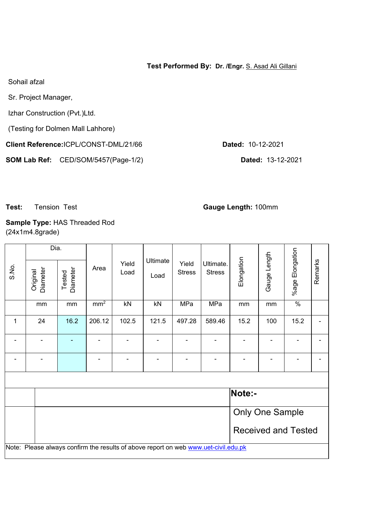### **Test Performed By: Dr. /Engr.** S. Asad Ali Gillani

Sohail afzal

Sr. Project Manager,

Izhar Construction (Pvt.)Ltd.

(Testing for Dolmen Mall Lahhore)

**Client Reference:**ICPL/CONST-DML/21/66 **Dated:** 10-12-2021

**SOM Lab Ref:** CED/SOM/5457(Page-1/2) **Dated:** 13-12-2021

**Test:** Tension Test **Gauge Length:** 100mm

**Sample Type:** HAS Threaded Rod (24x1m4.8grade)

| S.No. | <b>Diameter</b><br>Original                                                         | Dia.<br><b>Diameter</b><br>Tested |                          | Yield<br>Load | Ultimate<br>Load | Yield<br><b>Stress</b> | Ultimate.<br><b>Stress</b> | Elongation | Gauge Length | %age Elongation | Remarks |  |  |
|-------|-------------------------------------------------------------------------------------|-----------------------------------|--------------------------|---------------|------------------|------------------------|----------------------------|------------|--------------|-----------------|---------|--|--|
|       | mm                                                                                  | mm                                | $\overline{\text{mm}^2}$ | kN            | kN               | MPa                    | MPa                        | mm         | mm           | $\frac{0}{6}$   |         |  |  |
| 1     | 24                                                                                  | 16.2                              | 206.12                   | 102.5         | 121.5            | 497.28                 | 589.46                     | 15.2       | 100          | 15.2            |         |  |  |
|       |                                                                                     |                                   |                          |               |                  |                        |                            |            |              |                 |         |  |  |
|       |                                                                                     |                                   |                          |               |                  |                        |                            |            |              |                 |         |  |  |
|       |                                                                                     |                                   |                          |               |                  |                        |                            |            |              |                 |         |  |  |
|       | Note:-                                                                              |                                   |                          |               |                  |                        |                            |            |              |                 |         |  |  |
|       |                                                                                     | <b>Only One Sample</b>            |                          |               |                  |                        |                            |            |              |                 |         |  |  |
|       | <b>Received and Tested</b>                                                          |                                   |                          |               |                  |                        |                            |            |              |                 |         |  |  |
|       | Note: Please always confirm the results of above report on web www.uet-civil.edu.pk |                                   |                          |               |                  |                        |                            |            |              |                 |         |  |  |